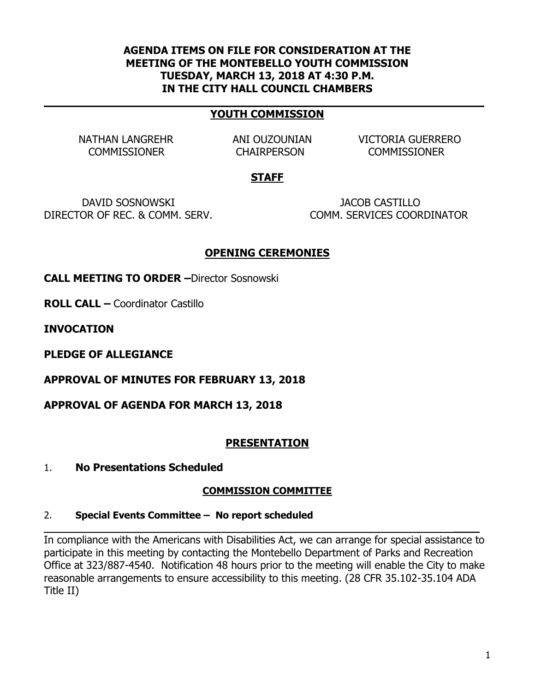### **AGENDA ITEMS ON FILE FOR CONSIDERATION AT THE MEETING OF THE MONTEBELLO YOUTH COMMISSION TUESDAY, MARCH 13, 2018 AT 4:30 P.M. IN THE CITY HALL COUNCIL CHAMBERS**

### **YOUTH COMMISSION**

NATHAN LANGREHR ANI OUZOUNIAN VICTORIA GUERRERO COMMISSIONER CHAIRPERSON COMMISSIONER

### **STAFF**

DAVID SOSNOWSKI JACOB CASTILLO DIRECTOR OF REC. & COMM. SERV. COMM. SERVICES COORDINATOR

### **OPENING CEREMONIES**

**CALL MEETING TO ORDER –**Director Sosnowski

**ROLL CALL –** Coordinator Castillo

**INVOCATION** 

**PLEDGE OF ALLEGIANCE**

**APPROVAL OF MINUTES FOR FEBRUARY 13, 2018**

## **APPROVAL OF AGENDA FOR MARCH 13, 2018**

## **PRESENTATION**

1. **No Presentations Scheduled**

#### **COMMISSION COMMITTEE**

#### 2. **Special Events Committee – No report scheduled**

In compliance with the Americans with Disabilities Act, we can arrange for special assistance to participate in this meeting by contacting the Montebello Department of Parks and Recreation Office at 323/887-4540. Notification 48 hours prior to the meeting will enable the City to make reasonable arrangements to ensure accessibility to this meeting. (28 CFR 35.102-35.104 ADA Title II)

**\_\_\_\_**